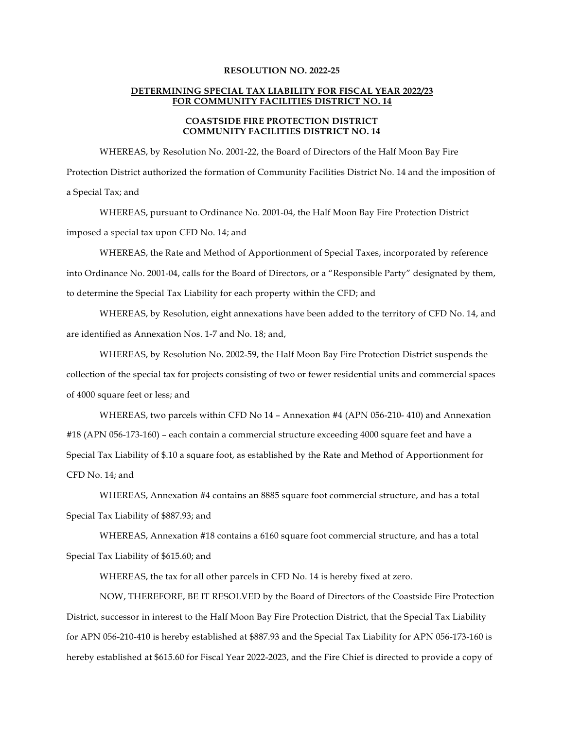## **RESOLUTION NO. 2022-25**

## **DETERMINING SPECIAL TAX LIABILITY FOR FISCAL YEAR 2022/23 FOR COMMUNITY FACILITIES DISTRICT NO. 14**

## **COASTSIDE FIRE PROTECTION DISTRICT COMMUNITY FACILITIES DISTRICT NO. 14**

WHEREAS, by Resolution No. 2001-22, the Board of Directors of the Half Moon Bay Fire Protection District authorized the formation of Community Facilities District No. 14 and the imposition of a Special Tax; and

WHEREAS, pursuant to Ordinance No. 2001-04, the Half Moon Bay Fire Protection District imposed a special tax upon CFD No. 14; and

WHEREAS, the Rate and Method of Apportionment of Special Taxes, incorporated by reference into Ordinance No. 2001-04, calls for the Board of Directors, or a "Responsible Party" designated by them, to determine the Special Tax Liability for each property within the CFD; and

WHEREAS, by Resolution, eight annexations have been added to the territory of CFD No. 14, and are identified as Annexation Nos. 1-7 and No. 18; and,

WHEREAS, by Resolution No. 2002-59, the Half Moon Bay Fire Protection District suspends the collection of the special tax for projects consisting of two or fewer residential units and commercial spaces of 4000 square feet or less; and

WHEREAS, two parcels within CFD No 14 – Annexation #4 (APN 056-210- 410) and Annexation #18 (APN 056-173-160) – each contain a commercial structure exceeding 4000 square feet and have a Special Tax Liability of \$.10 a square foot, as established by the Rate and Method of Apportionment for CFD No. 14; and

WHEREAS, Annexation #4 contains an 8885 square foot commercial structure, and has a total Special Tax Liability of \$887.93; and

WHEREAS, Annexation #18 contains a 6160 square foot commercial structure, and has a total Special Tax Liability of \$615.60; and

WHEREAS, the tax for all other parcels in CFD No. 14 is hereby fixed at zero.

NOW, THEREFORE, BE IT RESOLVED by the Board of Directors of the Coastside Fire Protection District, successor in interest to the Half Moon Bay Fire Protection District, that the Special Tax Liability for APN 056-210-410 is hereby established at \$887.93 and the Special Tax Liability for APN 056-173-160 is hereby established at \$615.60 for Fiscal Year 2022-2023, and the Fire Chief is directed to provide a copy of